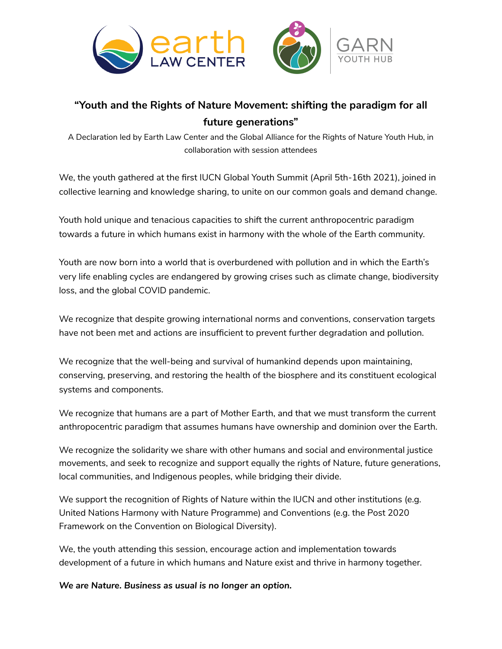

## **"Youth and the Rights of Nature Movement: shifting the paradigm for all future generations"**

A Declaration led by Earth Law Center and the Global Alliance for the Rights of Nature Youth Hub, in collaboration with session attendees

We, the youth gathered at the first IUCN Global Youth Summit (April 5th-16th 2021), joined in collective learning and knowledge sharing, to unite on our common goals and demand change.

Youth hold unique and tenacious capacities to shift the current anthropocentric paradigm towards a future in which humans exist in harmony with the whole of the Earth community.

Youth are now born into a world that is overburdened with pollution and in which the Earth's very life enabling cycles are endangered by growing crises such as climate change, biodiversity loss, and the global COVID pandemic.

We recognize that despite growing international norms and conventions, conservation targets have not been met and actions are insufficient to prevent further degradation and pollution.

We recognize that the well-being and survival of humankind depends upon maintaining, conserving, preserving, and restoring the health of the biosphere and its constituent ecological systems and components.

We recognize that humans are a part of Mother Earth, and that we must transform the current anthropocentric paradigm that assumes humans have ownership and dominion over the Earth.

We recognize the solidarity we share with other humans and social and environmental justice movements, and seek to recognize and support equally the rights of Nature, future generations, local communities, and Indigenous peoples, while bridging their divide.

We support the recognition of Rights of Nature within the IUCN and other institutions (e.g. United Nations Harmony with Nature Programme) and Conventions (e.g. the Post 2020 Framework on the Convention on Biological Diversity).

We, the youth attending this session, encourage action and implementation towards development of a future in which humans and Nature exist and thrive in harmony together.

*We are Nature. Business as usual is no longer an option.*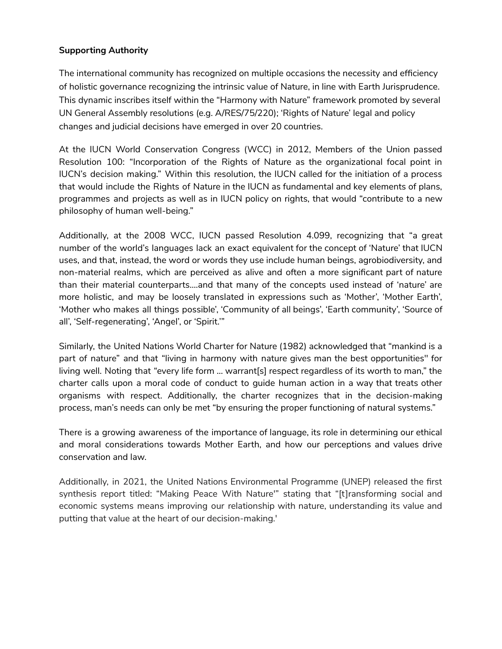## **Supporting Authority**

The international community has recognized on multiple occasions the necessity and efficiency of holistic governance recognizing the intrinsic value of Nature, in line with Earth Jurisprudence. This dynamic inscribes itself within the "Harmony with Nature" framework promoted by several UN General Assembly resolutions (e.g. A/RES/75/220); 'Rights of Nature' legal and policy changes and judicial decisions have emerged in over 20 countries.

At the IUCN World Conservation Congress (WCC) in 2012, Members of the Union passed Resolution 100: "Incorporation of the Rights of Nature as the organizational focal point in IUCN's decision making." Within this resolution, the IUCN called for the initiation of a process that would include the Rights of Nature in the IUCN as fundamental and key elements of plans, programmes and projects as well as in IUCN policy on rights, that would "contribute to a new philosophy of human well-being."

Additionally, at the 2008 WCC, IUCN passed Resolution 4.099, recognizing that "a great number of the world's languages lack an exact equivalent for the concept of 'Nature' that IUCN uses, and that, instead, the word or words they use include human beings, agrobiodiversity, and non-material realms, which are perceived as alive and often a more significant part of nature than their material counterparts….and that many of the concepts used instead of 'nature' are more holistic, and may be loosely translated in expressions such as 'Mother', 'Mother Earth', 'Mother who makes all things possible', 'Community of all beings', 'Earth community', 'Source of all', 'Self-regenerating', 'Angel', or 'Spirit.'"

Similarly, the United Nations World Charter for Nature (1982) acknowledged that "mankind is a part of nature" and that "living in harmony with nature gives man the best opportunities'' for living well. Noting that "every life form … warrant[s] respect regardless of its worth to man," the charter calls upon a moral code of conduct to guide human action in a way that treats other organisms with respect. Additionally, the charter recognizes that in the decision-making process, man's needs can only be met "by ensuring the proper functioning of natural systems."

There is a growing awareness of the importance of language, its role in determining our ethical and moral considerations towards Mother Earth, and how our perceptions and values drive conservation and law.

Additionally, in 2021, the United Nations Environmental Programme (UNEP) released the first synthesis report titled: "Making Peace With Nature'" stating that "[t]ransforming social and economic systems means improving our relationship with nature, understanding its value and putting that value at the heart of our decision-making.'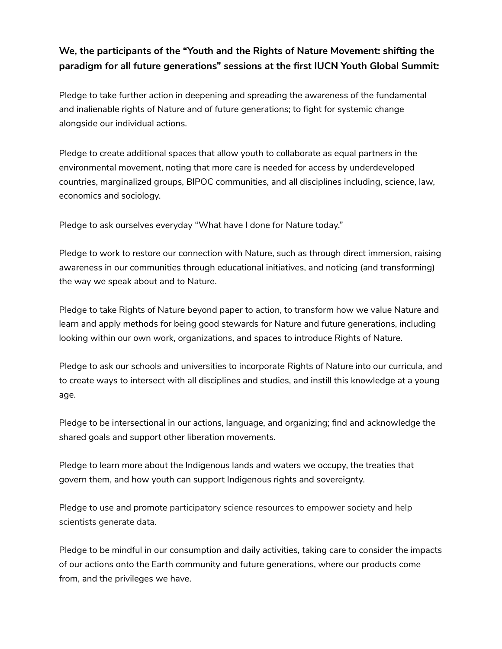## **We, the participants of the "Youth and the Rights of Nature Movement: shifting the paradigm for all future generations" sessions at the first IUCN Youth Global Summit:**

Pledge to take further action in deepening and spreading the awareness of the fundamental and inalienable rights of Nature and of future generations; to fight for systemic change alongside our individual actions.

Pledge to create additional spaces that allow youth to collaborate as equal partners in the environmental movement, noting that more care is needed for access by underdeveloped countries, marginalized groups, BIPOC communities, and all disciplines including, science, law, economics and sociology.

Pledge to ask ourselves everyday "What have I done for Nature today."

Pledge to work to restore our connection with Nature, such as through direct immersion, raising awareness in our communities through educational initiatives, and noticing (and transforming) the way we speak about and to Nature.

Pledge to take Rights of Nature beyond paper to action, to transform how we value Nature and learn and apply methods for being good stewards for Nature and future generations, including looking within our own work, organizations, and spaces to introduce Rights of Nature.

Pledge to ask our schools and universities to incorporate Rights of Nature into our curricula, and to create ways to intersect with all disciplines and studies, and instill this knowledge at a young age.

Pledge to be intersectional in our actions, language, and organizing; find and acknowledge the shared goals and support other liberation movements.

Pledge to learn more about the Indigenous lands and waters we occupy, the treaties that govern them, and how youth can support Indigenous rights and sovereignty.

Pledge to use and promote participatory science resources to empower society and help scientists generate data.

Pledge to be mindful in our consumption and daily activities, taking care to consider the impacts of our actions onto the Earth community and future generations, where our products come from, and the privileges we have.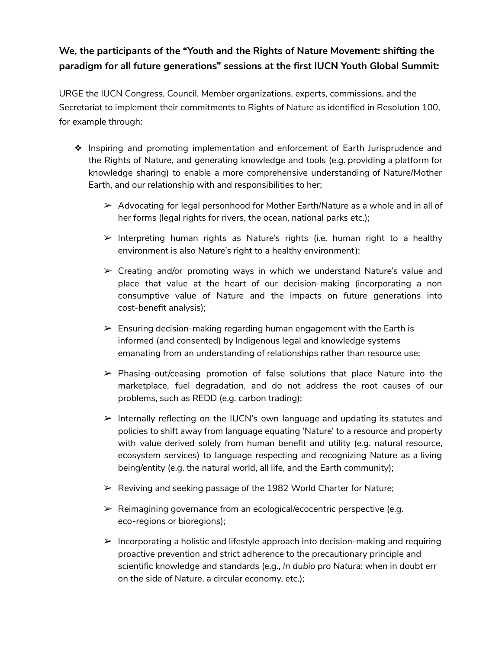## **We, the participants of the "Youth and the Rights of Nature Movement: shifting the paradigm for all future generations" sessions at the first IUCN Youth Global Summit:**

URGE the IUCN Congress, Council, Member organizations, experts, commissions, and the Secretariat to implement their commitments to Rights of Nature as identified in Resolution 100, for example through:

- ❖ Inspiring and promoting implementation and enforcement of Earth Jurisprudence and the Rights of Nature, and generating knowledge and tools (e.g. providing a platform for knowledge sharing) to enable a more comprehensive understanding of Nature/Mother Earth, and our relationship with and responsibilities to her;
	- $\triangleright$  Advocating for legal personhood for Mother Earth/Nature as a whole and in all of her forms (legal rights for rivers, the ocean, national parks etc.);
	- $\triangleright$  Interpreting human rights as Nature's rights (i.e. human right to a healthy environment is also Nature's right to a healthy environment);
	- $\triangleright$  Creating and/or promoting ways in which we understand Nature's value and place that value at the heart of our decision-making (incorporating a non consumptive value of Nature and the impacts on future generations into cost-benefit analysis);
	- $\triangleright$  Ensuring decision-making regarding human engagement with the Earth is informed (and consented) by Indigenous legal and knowledge systems emanating from an understanding of relationships rather than resource use;
	- $\triangleright$  Phasing-out/ceasing promotion of false solutions that place Nature into the marketplace, fuel degradation, and do not address the root causes of our problems, such as REDD (e.g. carbon trading);
	- ➢ Internally reflecting on the IUCN's own language and updating its statutes and policies to shift away from language equating 'Nature' to a resource and property with value derived solely from human benefit and utility (e.g. natural resource, ecosystem services) to language respecting and recognizing Nature as a living being/entity (e.g. the natural world, all life, and the Earth community);
	- $\triangleright$  Reviving and seeking passage of the 1982 World Charter for Nature;
	- $\triangleright$  Reimagining governance from an ecological/ecocentric perspective (e.g. eco-regions or bioregions);
	- $\triangleright$  Incorporating a holistic and lifestyle approach into decision-making and requiring proactive prevention and strict adherence to the precautionary principle and scientific knowledge and standards (e.g., *In dubio pro Natura*: when in doubt err on the side of Nature, a circular economy, etc.);